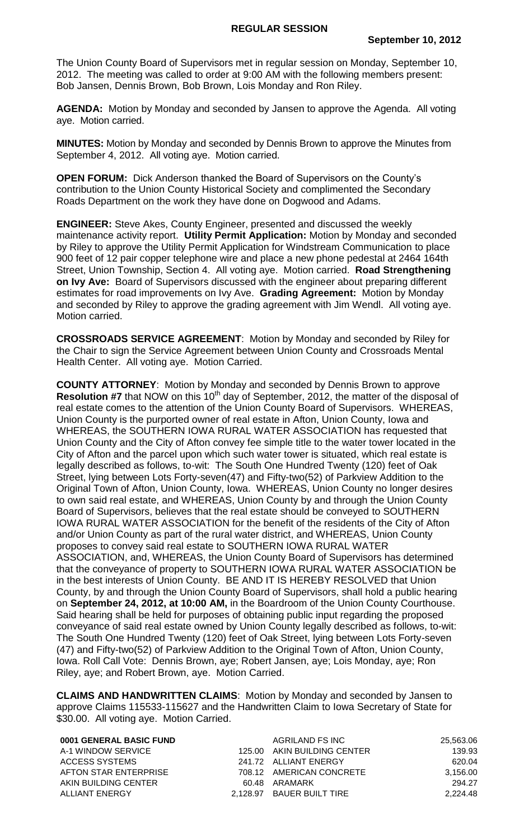The Union County Board of Supervisors met in regular session on Monday, September 10, 2012. The meeting was called to order at 9:00 AM with the following members present: Bob Jansen, Dennis Brown, Bob Brown, Lois Monday and Ron Riley.

**AGENDA:** Motion by Monday and seconded by Jansen to approve the Agenda. All voting aye. Motion carried.

**MINUTES:** Motion by Monday and seconded by Dennis Brown to approve the Minutes from September 4, 2012. All voting aye. Motion carried.

**OPEN FORUM:** Dick Anderson thanked the Board of Supervisors on the County's contribution to the Union County Historical Society and complimented the Secondary Roads Department on the work they have done on Dogwood and Adams.

**ENGINEER:** Steve Akes, County Engineer, presented and discussed the weekly maintenance activity report. **Utility Permit Application:** Motion by Monday and seconded by Riley to approve the Utility Permit Application for Windstream Communication to place 900 feet of 12 pair copper telephone wire and place a new phone pedestal at 2464 164th Street, Union Township, Section 4. All voting aye. Motion carried. **Road Strengthening on Ivy Ave:** Board of Supervisors discussed with the engineer about preparing different estimates for road improvements on Ivy Ave. **Grading Agreement:** Motion by Monday and seconded by Riley to approve the grading agreement with Jim Wendl. All voting aye. Motion carried.

**CROSSROADS SERVICE AGREEMENT**: Motion by Monday and seconded by Riley for the Chair to sign the Service Agreement between Union County and Crossroads Mental Health Center. All voting aye. Motion Carried.

**COUNTY ATTORNEY**: Motion by Monday and seconded by Dennis Brown to approve **Resolution #7** that NOW on this 10<sup>th</sup> day of September, 2012, the matter of the disposal of real estate comes to the attention of the Union County Board of Supervisors. WHEREAS, Union County is the purported owner of real estate in Afton, Union County, Iowa and WHEREAS, the SOUTHERN IOWA RURAL WATER ASSOCIATION has requested that Union County and the City of Afton convey fee simple title to the water tower located in the City of Afton and the parcel upon which such water tower is situated, which real estate is legally described as follows, to-wit: The South One Hundred Twenty (120) feet of Oak Street, lying between Lots Forty-seven(47) and Fifty-two(52) of Parkview Addition to the Original Town of Afton, Union County, Iowa. WHEREAS, Union County no longer desires to own said real estate, and WHEREAS, Union County by and through the Union County Board of Supervisors, believes that the real estate should be conveyed to SOUTHERN IOWA RURAL WATER ASSOCIATION for the benefit of the residents of the City of Afton and/or Union County as part of the rural water district, and WHEREAS, Union County proposes to convey said real estate to SOUTHERN IOWA RURAL WATER ASSOCIATION, and, WHEREAS, the Union County Board of Supervisors has determined that the conveyance of property to SOUTHERN IOWA RURAL WATER ASSOCIATION be in the best interests of Union County. BE AND IT IS HEREBY RESOLVED that Union County, by and through the Union County Board of Supervisors, shall hold a public hearing on **September 24, 2012, at 10:00 AM,** in the Boardroom of the Union County Courthouse. Said hearing shall be held for purposes of obtaining public input regarding the proposed conveyance of said real estate owned by Union County legally described as follows, to-wit: The South One Hundred Twenty (120) feet of Oak Street, lying between Lots Forty-seven (47) and Fifty-two(52) of Parkview Addition to the Original Town of Afton, Union County, Iowa. Roll Call Vote: Dennis Brown, aye; Robert Jansen, aye; Lois Monday, aye; Ron Riley, aye; and Robert Brown, aye. Motion Carried.

**CLAIMS AND HANDWRITTEN CLAIMS**: Motion by Monday and seconded by Jansen to approve Claims 115533-115627 and the Handwritten Claim to Iowa Secretary of State for \$30.00. All voting aye. Motion Carried.

| 0001 GENERAL BASIC FUND | AGRILAND FS INC             | 25,563.06 |
|-------------------------|-----------------------------|-----------|
| A-1 WINDOW SERVICE      | 125.00 AKIN BUILDING CENTER | 139.93    |
| ACCESS SYSTEMS          | 241.72 ALLIANT ENERGY       | 620.04    |
| AFTON STAR ENTERPRISE   | 708.12 AMERICAN CONCRETE    | 3.156.00  |
| AKIN BUILDING CENTER    | 60.48 ARAMARK               | 294.27    |
| ALLIANT ENERGY          | 2.128.97 BAUER BUILT TIRE   | 2,224.48  |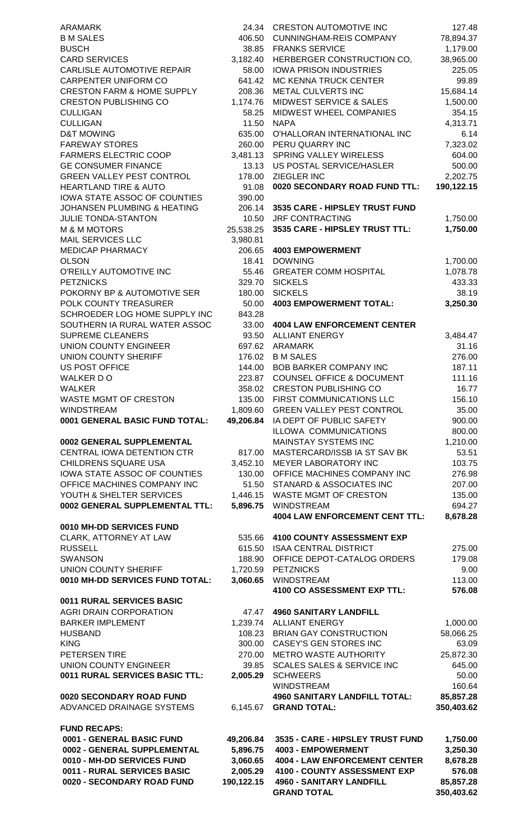| ARAMARK                                                              | 24.34              | <b>CRESTON AUTOMOTIVE INC</b>                                | 127.48                 |
|----------------------------------------------------------------------|--------------------|--------------------------------------------------------------|------------------------|
| <b>B M SALES</b>                                                     | 406.50             | <b>CUNNINGHAM-REIS COMPANY</b>                               | 78,894.37              |
| <b>BUSCH</b>                                                         | 38.85              | <b>FRANKS SERVICE</b>                                        | 1,179.00               |
| <b>CARD SERVICES</b><br>CARLISLE AUTOMOTIVE REPAIR                   | 3,182.40           | HERBERGER CONSTRUCTION CO,<br><b>IOWA PRISON INDUSTRIES</b>  | 38,965.00              |
| <b>CARPENTER UNIFORM CO</b>                                          | 58.00<br>641.42    | MC KENNA TRUCK CENTER                                        | 225.05<br>99.89        |
| <b>CRESTON FARM &amp; HOME SUPPLY</b>                                | 208.36             | METAL CULVERTS INC                                           | 15,684.14              |
| <b>CRESTON PUBLISHING CO</b>                                         | 1,174.76           | <b>MIDWEST SERVICE &amp; SALES</b>                           | 1,500.00               |
| <b>CULLIGAN</b>                                                      | 58.25              | MIDWEST WHEEL COMPANIES                                      | 354.15                 |
| <b>CULLIGAN</b>                                                      | 11.50              | <b>NAPA</b>                                                  | 4,313.71               |
| D&T MOWING                                                           | 635.00             | O'HALLORAN INTERNATIONAL INC                                 | 6.14                   |
| <b>FAREWAY STORES</b>                                                | 260.00             | PERU QUARRY INC                                              | 7,323.02               |
| <b>FARMERS ELECTRIC COOP</b>                                         | 3,481.13           | SPRING VALLEY WIRELESS                                       | 604.00                 |
| <b>GE CONSUMER FINANCE</b>                                           | 13.13              | US POSTAL SERVICE/HASLER                                     | 500.00                 |
| <b>GREEN VALLEY PEST CONTROL</b><br><b>HEARTLAND TIRE &amp; AUTO</b> | 178.00<br>91.08    | ZIEGLER INC<br>0020 SECONDARY ROAD FUND TTL:                 | 2,202.75<br>190,122.15 |
| <b>IOWA STATE ASSOC OF COUNTIES</b>                                  | 390.00             |                                                              |                        |
| JOHANSEN PLUMBING & HEATING                                          | 206.14             | 3535 CARE - HIPSLEY TRUST FUND                               |                        |
| <b>JULIE TONDA-STANTON</b>                                           | 10.50              | <b>JRF CONTRACTING</b>                                       | 1,750.00               |
| <b>M &amp; M MOTORS</b>                                              | 25,538.25          | 3535 CARE - HIPSLEY TRUST TTL:                               | 1,750.00               |
| <b>MAIL SERVICES LLC</b>                                             | 3,980.81           |                                                              |                        |
| <b>MEDICAP PHARMACY</b>                                              | 206.65             | <b>4003 EMPOWERMENT</b>                                      |                        |
| OLSON                                                                | 18.41              | <b>DOWNING</b>                                               | 1,700.00               |
| O'REILLY AUTOMOTIVE INC                                              | 55.46              | <b>GREATER COMM HOSPITAL</b>                                 | 1,078.78               |
| <b>PETZNICKS</b>                                                     | 329.70             | <b>SICKELS</b>                                               | 433.33                 |
| POKORNY BP & AUTOMOTIVE SER<br>POLK COUNTY TREASURER                 | 180.00<br>50.00    | <b>SICKELS</b><br><b>4003 EMPOWERMENT TOTAL:</b>             | 38.19<br>3,250.30      |
| SCHROEDER LOG HOME SUPPLY INC                                        | 843.28             |                                                              |                        |
| SOUTHERN IA RURAL WATER ASSOC                                        | 33.00              | <b>4004 LAW ENFORCEMENT CENTER</b>                           |                        |
| <b>SUPREME CLEANERS</b>                                              | 93.50              | <b>ALLIANT ENERGY</b>                                        | 3,484.47               |
| UNION COUNTY ENGINEER                                                | 697.62             | <b>ARAMARK</b>                                               | 31.16                  |
| UNION COUNTY SHERIFF                                                 | 176.02             | <b>B M SALES</b>                                             | 276.00                 |
| US POST OFFICE                                                       | 144.00             | <b>BOB BARKER COMPANY INC</b>                                | 187.11                 |
| WALKER D O                                                           | 223.87             | <b>COUNSEL OFFICE &amp; DOCUMENT</b>                         | 111.16                 |
| WALKER                                                               | 358.02             | <b>CRESTON PUBLISHING CO</b>                                 | 16.77                  |
| WASTE MGMT OF CRESTON<br>WINDSTREAM                                  | 135.00<br>1,809.60 | FIRST COMMUNICATIONS LLC<br><b>GREEN VALLEY PEST CONTROL</b> | 156.10<br>35.00        |
| 0001 GENERAL BASIC FUND TOTAL:                                       | 49,206.84          | IA DEPT OF PUBLIC SAFETY                                     | 900.00                 |
|                                                                      |                    | ILLOWA COMMUNICATIONS                                        | 800.00                 |
| 0002 GENERAL SUPPLEMENTAL                                            |                    | MAINSTAY SYSTEMS INC                                         | 1,210.00               |
| CENTRAL IOWA DETENTION CTR                                           | 817.00             | MASTERCARD/ISSB IA ST SAV BK                                 | 53.51                  |
| CHILDRENS SQUARE USA                                                 | 3,452.10           | MEYER LABORATORY INC                                         | 103.75                 |
| IOWA STATE ASSOC OF COUNTIES                                         | 130.00             | OFFICE MACHINES COMPANY INC                                  | 276.98                 |
| OFFICE MACHINES COMPANY INC                                          | 51.50              | STANARD & ASSOCIATES INC                                     | 207.00                 |
| YOUTH & SHELTER SERVICES                                             | 1,446.15           | <b>WASTE MGMT OF CRESTON</b>                                 | 135.00                 |
| 0002 GENERAL SUPPLEMENTAL TTL:                                       | 5,896.75           | <b>WINDSTREAM</b><br><b>4004 LAW ENFORCEMENT CENT TTL:</b>   | 694.27<br>8,678.28     |
| 0010 MH-DD SERVICES FUND                                             |                    |                                                              |                        |
| CLARK, ATTORNEY AT LAW                                               | 535.66             | <b>4100 COUNTY ASSESSMENT EXP</b>                            |                        |
| <b>RUSSELL</b>                                                       | 615.50             | <b>ISAA CENTRAL DISTRICT</b>                                 | 275.00                 |
| <b>SWANSON</b>                                                       | 188.90             | OFFICE DEPOT-CATALOG ORDERS                                  | 179.08                 |
| UNION COUNTY SHERIFF                                                 | 1,720.59           | <b>PETZNICKS</b>                                             | 9.00                   |
| 0010 MH-DD SERVICES FUND TOTAL:                                      | 3,060.65           | <b>WINDSTREAM</b>                                            | 113.00                 |
|                                                                      |                    | 4100 CO ASSESSMENT EXP TTL:                                  | 576.08                 |
| <b>0011 RURAL SERVICES BASIC</b>                                     |                    |                                                              |                        |
| <b>AGRI DRAIN CORPORATION</b>                                        | 47.47              | <b>4960 SANITARY LANDFILL</b>                                |                        |
| <b>BARKER IMPLEMENT</b><br><b>HUSBAND</b>                            | 1,239.74<br>108.23 | <b>ALLIANT ENERGY</b><br><b>BRIAN GAY CONSTRUCTION</b>       | 1,000.00<br>58,066.25  |
| <b>KING</b>                                                          | 300.00             | <b>CASEY'S GEN STORES INC</b>                                | 63.09                  |
| PETERSEN TIRE                                                        | 270.00             | METRO WASTE AUTHORITY                                        | 25,872.30              |
| <b>UNION COUNTY ENGINEER</b>                                         | 39.85              | <b>SCALES SALES &amp; SERVICE INC</b>                        | 645.00                 |
| 0011 RURAL SERVICES BASIC TTL:                                       | 2,005.29           | <b>SCHWEERS</b>                                              | 50.00                  |
|                                                                      |                    | <b>WINDSTREAM</b>                                            | 160.64                 |
| 0020 SECONDARY ROAD FUND                                             |                    | <b>4960 SANITARY LANDFILL TOTAL:</b>                         | 85,857.28              |
| ADVANCED DRAINAGE SYSTEMS                                            | 6,145.67           | <b>GRAND TOTAL:</b>                                          | 350,403.62             |
|                                                                      |                    |                                                              |                        |
| <b>FUND RECAPS:</b><br>0001 - GENERAL BASIC FUND                     | 49,206.84          | 3535 - CARE - HIPSLEY TRUST FUND                             | 1,750.00               |
| 0002 - GENERAL SUPPLEMENTAL                                          | 5,896.75           | 4003 - EMPOWERMENT                                           | 3,250.30               |
| 0010 - MH-DD SERVICES FUND                                           | 3,060.65           | <b>4004 - LAW ENFORCEMENT CENTER</b>                         | 8,678.28               |
| 0011 - RURAL SERVICES BASIC                                          | 2,005.29           | 4100 - COUNTY ASSESSMENT EXP                                 | 576.08                 |
| 0020 - SECONDARY ROAD FUND                                           | 190,122.15         | <b>4960 - SANITARY LANDFILL</b>                              | 85,857.28              |
|                                                                      |                    | <b>GRAND TOTAL</b>                                           | 350,403.62             |